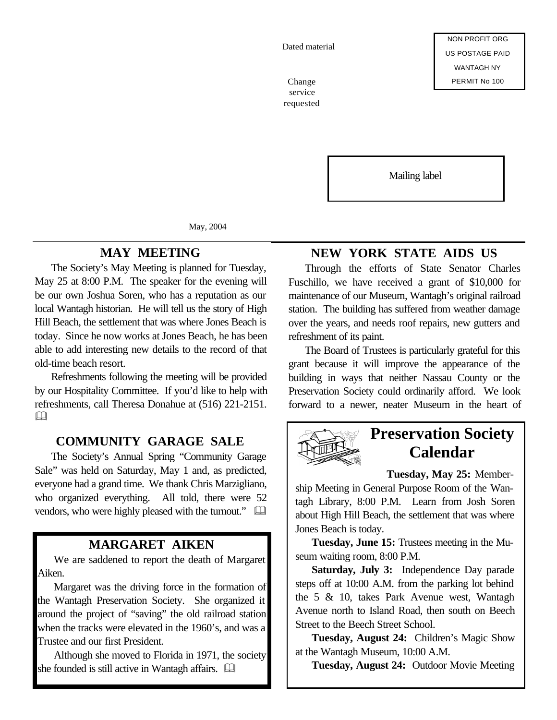Dated material

service requested

Mailing label

May, 2004

#### **MAY MEETING**

The Society's May Meeting is planned for Tuesday, May 25 at 8:00 P.M. The speaker for the evening will be our own Joshua Soren, who has a reputation as our local Wantagh historian. He will tell us the story of High Hill Beach, the settlement that was where Jones Beach is today. Since he now works at Jones Beach, he has been able to add interesting new details to the record of that old-time beach resort.

Refreshments following the meeting will be provided by our Hospitality Committee. If you'd like to help with refreshments, call Theresa Donahue at (516) 221-2151.  $\Box$ 

#### **COMMUNITY GARAGE SALE**

The Society's Annual Spring "Community Garage Sale" was held on Saturday, May 1 and, as predicted, everyone had a grand time. We thank Chris Marzigliano, who organized everything. All told, there were 52 vendors, who were highly pleased with the turnout."  $\Box$ 

### **MARGARET AIKEN**

We are saddened to report the death of Margaret Aiken.

Margaret was the driving force in the formation of the Wantagh Preservation Society. She organized it around the project of "saving" the old railroad station when the tracks were elevated in the 1960's, and was a Trustee and our first President.

Although she moved to Florida in 1971, the society she founded is still active in Wantagh affairs.  $\square$ 

## **NEW YORK STATE AIDS US**

Through the efforts of State Senator Charles Fuschillo, we have received a grant of \$10,000 for maintenance of our Museum, Wantagh's original railroad station. The building has suffered from weather damage over the years, and needs roof repairs, new gutters and refreshment of its paint.

The Board of Trustees is particularly grateful for this grant because it will improve the appearance of the building in ways that neither Nassau County or the Preservation Society could ordinarily afford. We look forward to a newer, neater Museum in the heart of



# **Preservation Society Calendar**

**Tuesday, May 25:** Member-

ship Meeting in General Purpose Room of the Wantagh Library, 8:00 P.M. Learn from Josh Soren about High Hill Beach, the settlement that was where Jones Beach is today.

**Tuesday, June 15:** Trustees meeting in the Museum waiting room, 8:00 P.M.

**Saturday, July 3:** Independence Day parade steps off at 10:00 A.M. from the parking lot behind the 5 & 10, takes Park Avenue west, Wantagh Avenue north to Island Road, then south on Beech Street to the Beech Street School.

**Tuesday, August 24:** Children's Magic Show at the Wantagh Museum, 10:00 A.M.

**Tuesday, August 24:** Outdoor Movie Meeting